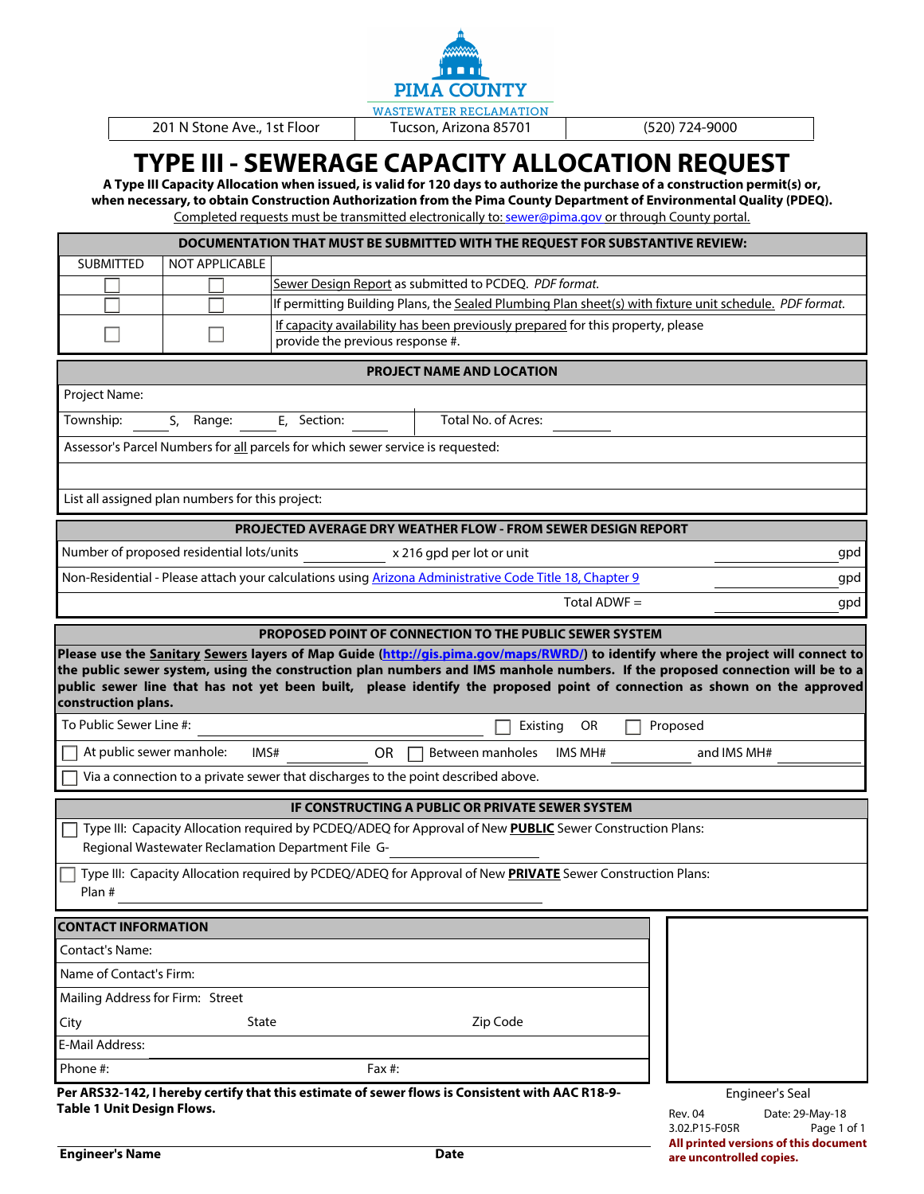

201 N Stone Ave., 1st Floor | Tucson, Arizona 85701 | (520) 724-9000

## **TYPE III - SEWERAGE CAPACITY ALLOCATION REQUEST**

**A Type III Capacity Allocation when issued, is valid for 120 days to authorize the purchase of a construction permit(s) or, when necessary, to obtain Construction Authorization from the Pima County Department of Environmental Quality (PDEQ).** 

Completed requests must be transmitted electronically to: [sewer@pima.gov or through County portal.](mailto:sewer@pima.gov?subject=Type%20III%20-%20Sewerage%20Capacity%20Allocation%20Request)

|                                                |                                                    |                                                                                                         | DOCUMENTATION THAT MUST BE SUBMITTED WITH THE REQUEST FOR SUBSTANTIVE REVIEW:                              |              |                |                                                                                                                          |
|------------------------------------------------|----------------------------------------------------|---------------------------------------------------------------------------------------------------------|------------------------------------------------------------------------------------------------------------|--------------|----------------|--------------------------------------------------------------------------------------------------------------------------|
| <b>SUBMITTED</b>                               | <b>NOT APPLICABLE</b>                              |                                                                                                         |                                                                                                            |              |                |                                                                                                                          |
|                                                |                                                    | Sewer Design Report as submitted to PCDEQ. PDF format.                                                  |                                                                                                            |              |                |                                                                                                                          |
|                                                |                                                    | If permitting Building Plans, the Sealed Plumbing Plan sheet(s) with fixture unit schedule. PDF format. |                                                                                                            |              |                |                                                                                                                          |
|                                                |                                                    | provide the previous response #.                                                                        | If capacity availability has been previously prepared for this property, please                            |              |                |                                                                                                                          |
|                                                |                                                    |                                                                                                         | PROJECT NAME AND LOCATION                                                                                  |              |                |                                                                                                                          |
| Project Name:                                  |                                                    |                                                                                                         |                                                                                                            |              |                |                                                                                                                          |
| Township:                                      | S.<br>Range:                                       | E, Section:                                                                                             | Total No. of Acres:                                                                                        |              |                |                                                                                                                          |
|                                                |                                                    | Assessor's Parcel Numbers for all parcels for which sewer service is requested:                         |                                                                                                            |              |                |                                                                                                                          |
|                                                |                                                    |                                                                                                         |                                                                                                            |              |                |                                                                                                                          |
|                                                | List all assigned plan numbers for this project:   |                                                                                                         |                                                                                                            |              |                |                                                                                                                          |
|                                                |                                                    |                                                                                                         | PROJECTED AVERAGE DRY WEATHER FLOW - FROM SEWER DESIGN REPORT                                              |              |                |                                                                                                                          |
|                                                | Number of proposed residential lots/units          |                                                                                                         | x 216 gpd per lot or unit                                                                                  |              |                | gpd                                                                                                                      |
|                                                |                                                    |                                                                                                         | Non-Residential - Please attach your calculations using Arizona Administrative Code Title 18, Chapter 9    |              |                | gpd                                                                                                                      |
|                                                |                                                    |                                                                                                         |                                                                                                            | Total ADWF = |                | gpd                                                                                                                      |
|                                                |                                                    |                                                                                                         | PROPOSED POINT OF CONNECTION TO THE PUBLIC SEWER SYSTEM                                                    |              |                |                                                                                                                          |
| construction plans.<br>To Public Sewer Line #: |                                                    |                                                                                                         | Existing                                                                                                   | OR           | Proposed       | public sewer line that has not yet been built, please identify the proposed point of connection as shown on the approved |
| At public sewer manhole:                       | IMS#                                               | <b>OR</b>                                                                                               | Between manholes                                                                                           | IMS MH#      |                | and IMS MH#                                                                                                              |
|                                                |                                                    | Via a connection to a private sewer that discharges to the point described above.                       |                                                                                                            |              |                |                                                                                                                          |
|                                                |                                                    |                                                                                                         | IF CONSTRUCTING A PUBLIC OR PRIVATE SEWER SYSTEM                                                           |              |                |                                                                                                                          |
|                                                | Regional Wastewater Reclamation Department File G- |                                                                                                         | Type III: Capacity Allocation required by PCDEQ/ADEQ for Approval of New PUBLIC Sewer Construction Plans:  |              |                |                                                                                                                          |
| Plan #                                         |                                                    |                                                                                                         | Type III: Capacity Allocation required by PCDEQ/ADEQ for Approval of New PRIVATE Sewer Construction Plans: |              |                |                                                                                                                          |
| <b>CONTACT INFORMATION</b>                     |                                                    |                                                                                                         |                                                                                                            |              |                |                                                                                                                          |
| Contact's Name:                                |                                                    |                                                                                                         |                                                                                                            |              |                |                                                                                                                          |
| Name of Contact's Firm:                        |                                                    |                                                                                                         |                                                                                                            |              |                |                                                                                                                          |
| Mailing Address for Firm: Street               |                                                    |                                                                                                         |                                                                                                            |              |                |                                                                                                                          |
| City                                           | <b>State</b>                                       |                                                                                                         | Zip Code                                                                                                   |              |                |                                                                                                                          |
| <b>E-Mail Address:</b>                         |                                                    |                                                                                                         |                                                                                                            |              |                |                                                                                                                          |
| Phone #:<br>Fax #:                             |                                                    |                                                                                                         |                                                                                                            |              |                |                                                                                                                          |
|                                                |                                                    |                                                                                                         | Per ARS32-142, I hereby certify that this estimate of sewer flows is Consistent with AAC R18-9-            |              |                | <b>Engineer's Seal</b>                                                                                                   |
| <b>Table 1 Unit Design Flows.</b>              |                                                    |                                                                                                         |                                                                                                            |              | <b>Rev. 04</b> | Date: 29-May-18                                                                                                          |